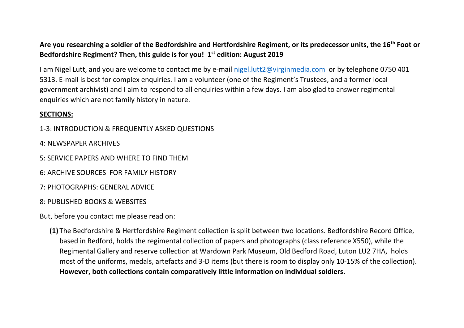**Are you researching a soldier of the Bedfordshire and Hertfordshire Regiment, or its predecessor units, the 16th Foot or Bedfordshire Regiment? Then, this guide is for you! 1 st edition: August 2019**

I am Nigel Lutt, and you are welcome to contact me by e-mail [nigel.lutt2@virginmedia.com](mailto:nigel.lutt2@virginmedia.com) or by telephone 0750 401 5313. E-mail is best for complex enquiries. I am a volunteer (one of the Regiment's Trustees, and a former local government archivist) and I aim to respond to all enquiries within a few days. I am also glad to answer regimental enquiries which are not family history in nature.

## **SECTIONS:**

- 1-3: INTRODUCTION & FREQUENTLY ASKED QUESTIONS
- 4: NEWSPAPER ARCHIVES
- 5: SERVICE PAPERS AND WHERE TO FIND THEM
- 6: ARCHIVE SOURCES FOR FAMILY HISTORY
- 7: PHOTOGRAPHS: GENERAL ADVICE
- 8: PUBLISHED BOOKS & WEBSITES

But, before you contact me please read on:

**(1)** The Bedfordshire & Hertfordshire Regiment collection is split between two locations. Bedfordshire Record Office, based in Bedford, holds the regimental collection of papers and photographs (class reference X550), while the Regimental Gallery and reserve collection at Wardown Park Museum, Old Bedford Road, Luton LU2 7HA, holds most of the uniforms, medals, artefacts and 3-D items (but there is room to display only 10-15% of the collection). **However, both collections contain comparatively little information on individual soldiers.**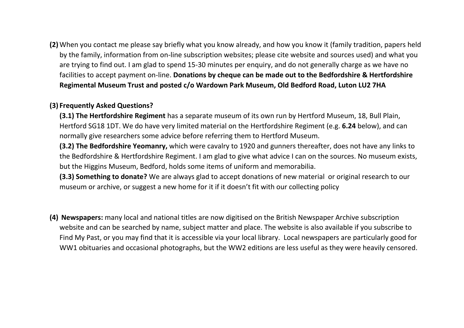**(2)** When you contact me please say briefly what you know already, and how you know it (family tradition, papers held by the family, information from on-line subscription websites; please cite website and sources used) and what you are trying to find out. I am glad to spend 15-30 minutes per enquiry, and do not generally charge as we have no facilities to accept payment on-line. **Donations by cheque can be made out to the Bedfordshire & Hertfordshire Regimental Museum Trust and posted c/o Wardown Park Museum, Old Bedford Road, Luton LU2 7HA**

#### **(3) Frequently Asked Questions?**

**(3.1) The Hertfordshire Regiment** has a separate museum of its own run by Hertford Museum, 18, Bull Plain, Hertford SG18 1DT. We do have very limited material on the Hertfordshire Regiment (e.g. **6.24** below), and can normally give researchers some advice before referring them to Hertford Museum.

**(3.2) The Bedfordshire Yeomanry,** which were cavalry to 1920 and gunners thereafter, does not have any links to the Bedfordshire & Hertfordshire Regiment. I am glad to give what advice I can on the sources. No museum exists, but the Higgins Museum, Bedford, holds some items of uniform and memorabilia.

**(3.3) Something to donate?** We are always glad to accept donations of new material or original research to our museum or archive, or suggest a new home for it if it doesn't fit with our collecting policy

**(4) Newspapers:** many local and national titles are now digitised on the British Newspaper Archive subscription website and can be searched by name, subject matter and place. The website is also available if you subscribe to Find My Past, or you may find that it is accessible via your local library. Local newspapers are particularly good for WW1 obituaries and occasional photographs, but the WW2 editions are less useful as they were heavily censored.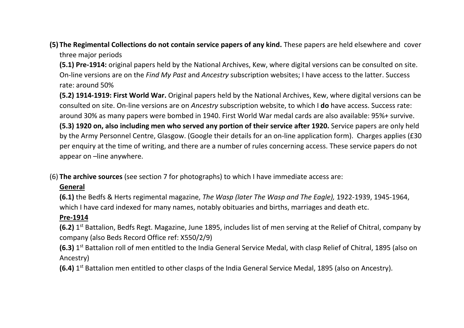- **(5) The Regimental Collections do not contain service papers of any kind.** These papers are held elsewhere and cover three major periods
	- **(5.1) Pre-1914:** original papers held by the National Archives, Kew, where digital versions can be consulted on site. On-line versions are on the *Find My Past* and *Ancestry* subscription websites; I have access to the latter. Success rate: around 50%
	- **(5.2) 1914-1919: First World War.** Original papers held by the National Archives, Kew, where digital versions can be consulted on site. On-line versions are on *Ancestry* subscription website, to which I **do** have access. Success rate: around 30% as many papers were bombed in 1940. First World War medal cards are also available: 95%+ survive.
	- **(5.3) 1920 on, also including men who served any portion of their service after 1920.** Service papers are only held by the Army Personnel Centre, Glasgow. (Google their details for an on-line application form). Charges applies (£30 per enquiry at the time of writing, and there are a number of rules concerning access. These service papers do not appear on –line anywhere.
- (6) **The archive sources** (see section 7 for photographs) to which I have immediate access are:

# **General**

**(6.1)** the Bedfs & Herts regimental magazine, *The Wasp (later The Wasp and The Eagle),* 1922-1939, 1945-1964, which I have card indexed for many names, notably obituaries and births, marriages and death etc.

# **Pre-1914**

- **(6.2)** 1 st Battalion, Bedfs Regt. Magazine, June 1895, includes list of men serving at the Relief of Chitral, company by company (also Beds Record Office ref: X550/2/9)
- **(6.3)** 1 st Battalion roll of men entitled to the India General Service Medal, with clasp Relief of Chitral, 1895 (also on Ancestry)
- **(6.4)** 1 st Battalion men entitled to other clasps of the India General Service Medal, 1895 (also on Ancestry).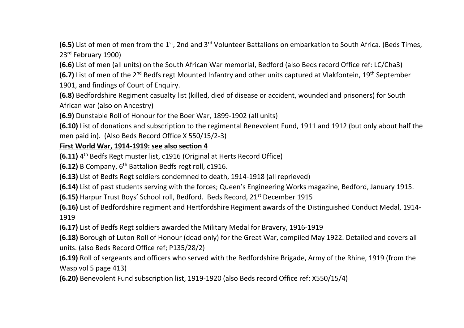**(6.5)** List of men of men from the 1<sup>st</sup>, 2nd and 3<sup>rd</sup> Volunteer Battalions on embarkation to South Africa. (Beds Times. 23rd February 1900)

**(6.6)** List of men (all units) on the South African War memorial, Bedford (also Beds record Office ref: LC/Cha3)

**(6.7)** List of men of the 2<sup>nd</sup> Bedfs regt Mounted Infantry and other units captured at Vlakfontein, 19<sup>th</sup> September 1901, and findings of Court of Enquiry.

**(6.8)** Bedfordshire Regiment casualty list (killed, died of disease or accident, wounded and prisoners) for South African war (also on Ancestry)

**(6.9)** Dunstable Roll of Honour for the Boer War, 1899-1902 (all units)

**(6.10)** List of donations and subscription to the regimental Benevolent Fund, 1911 and 1912 (but only about half the men paid in). (Also Beds Record Office X 550/15/2-3)

### **First World War, 1914-1919: see also section 4**

**(6.11)** 4<sup>th</sup> Bedfs Regt muster list, c1916 (Original at Herts Record Office)

**(6.12)** B Company, 6th Battalion Bedfs regt roll, c1916.

**(6.13)** List of Bedfs Regt soldiers condemned to death, 1914-1918 (all reprieved)

**(6.14)** List of past students serving with the forces; Queen's Engineering Works magazine, Bedford, January 1915.

**(6.15)** Harpur Trust Boys' School roll, Bedford. Beds Record, 21<sup>st</sup> December 1915

**(6.16)** List of Bedfordshire regiment and Hertfordshire Regiment awards of the Distinguished Conduct Medal, 1914- 1919

(**6.17)** List of Bedfs Regt soldiers awarded the Military Medal for Bravery, 1916-1919

**(6.18)** Borough of Luton Roll of Honour (dead only) for the Great War, compiled May 1922. Detailed and covers all units. (also Beds Record Office ref; P135/28/2)

(**6.19)** Roll of sergeants and officers who served with the Bedfordshire Brigade, Army of the Rhine, 1919 (from the Wasp vol 5 page 413)

**(6.20)** Benevolent Fund subscription list, 1919-1920 (also Beds record Office ref: X550/15/4)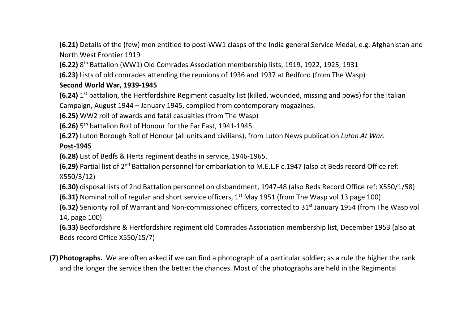**(6.21)** Details of the (few) men entitled to post-WW1 clasps of the India general Service Medal, e.g. Afghanistan and North West Frontier 1919

**(6.22)** 8<sup>th</sup> Battalion (WW1) Old Comrades Association membership lists, 1919, 1922, 1925, 1931

(**6.23)** Lists of old comrades attending the reunions of 1936 and 1937 at Bedford (from The Wasp)

## **Second World War, 1939-1945**

**(6.24)** 1<sup>st</sup> battalion, the Hertfordshire Regiment casualty list (killed, wounded, missing and pows) for the Italian Campaign, August 1944 – January 1945, compiled from contemporary magazines.

**(6.25)** WW2 roll of awards and fatal casualties (from The Wasp)

**(6.26)** 5<sup>th</sup> battalion Roll of Honour for the Far East, 1941-1945.

**(6.27)** Luton Borough Roll of Honour (all units and civilians), from Luton News publication *Luton At War.*

### **Post-1945**

**(6.28)** List of Bedfs & Herts regiment deaths in service, 1946-1965.

**(6.29)** Partial list of 2nd Battalion personnel for embarkation to M.E.L.F c.1947 (also at Beds record Office ref: X550/3/12)

**(6.30)** disposal lists of 2nd Battalion personnel on disbandment, 1947-48 (also Beds Record Office ref: X550/1/58)

**(6.31)** Nominal roll of regular and short service officers, 1<sup>st</sup> May 1951 (from The Wasp vol 13 page 100)

**(6.32)** Seniority roll of Warrant and Non-commissioned officers, corrected to 31<sup>st</sup> January 1954 (from The Wasp vol 14, page 100)

**(6.33)** Bedfordshire & Hertfordshire regiment old Comrades Association membership list, December 1953 (also at Beds record Office X550/15/7)

**(7) Photographs.** We are often asked if we can find a photograph of a particular soldier; as a rule the higher the rank and the longer the service then the better the chances. Most of the photographs are held in the Regimental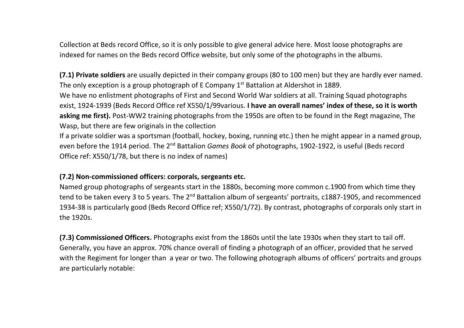Collection at Beds record Office, so it is only possible to give general advice here. Most loose photographs are indexed for names on the Beds record Office website, but only some of the photographs in the albums.

**(7.1) Private soldiers** are usually depicted in their company groups (80 to 100 men) but they are hardly ever named. The only exception is a group photograph of E Company 1<sup>st</sup> Battalion at Aldershot in 1889.

We have no enlistment photographs of First and Second World War soldiers at all. Training Squad photographs exist, 1924-1939 (Beds Record Office ref X550/1/99various. **I have an overall names' index of these, so it is worth asking me first).** Post-WW2 training photographs from the 1950s are often to be found in the Regt magazine, The Wasp, but there are few originals in the collection

If a private soldier was a sportsman (football, hockey, boxing, running etc.) then he might appear in a named group, even before the 1914 period. The 2nd Battalion *Games Book* of photographs, 1902-1922, is useful (Beds record Office ref: X550/1/78, but there is no index of names)

### **(7.2) Non-commissioned officers: corporals, sergeants etc.**

Named group photographs of sergeants start in the 1880s, becoming more common c.1900 from which time they tend to be taken every 3 to 5 years. The 2<sup>nd</sup> Battalion album of sergeants' portraits, c1887-1905, and recommenced 1934-38 is particularly good (Beds Record Office ref; X550/1/72). By contrast, photographs of corporals only start in the 1920s.

**(7.3) Commissioned Officers.** Photographs exist from the 1860s until the late 1930s when they start to tail off. Generally, you have an approx. 70% chance overall of finding a photograph of an officer, provided that he served with the Regiment for longer than a year or two. The following photograph albums of officers' portraits and groups are particularly notable: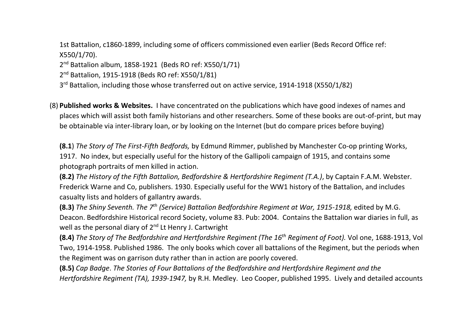1st Battalion, c1860-1899, including some of officers commissioned even earlier (Beds Record Office ref: X550/1/70).

2 nd Battalion album, 1858-1921 (Beds RO ref: X550/1/71)

2<sup>nd</sup> Battalion, 1915-1918 (Beds RO ref: X550/1/81)

3<sup>rd</sup> Battalion, including those whose transferred out on active service, 1914-1918 (X550/1/82)

(8) **Published works & Websites.** I have concentrated on the publications which have good indexes of names and places which will assist both family historians and other researchers. Some of these books are out-of-print, but may be obtainable via inter-library loan, or by looking on the Internet (but do compare prices before buying)

**(8.1**) *The Story of The First-Fifth Bedfords,* by Edmund Rimmer, published by Manchester Co-op printing Works, 1917. No index, but especially useful for the history of the Gallipoli campaign of 1915, and contains some photograph portraits of men killed in action.

**(8.2)** *The History of the Fifth Battalion, Bedfordshire & Hertfordshire Regiment (T.A.)*, by Captain F.A.M. Webster. Frederick Warne and Co, publishers. 1930. Especially useful for the WW1 history of the Battalion, and includes casualty lists and holders of gallantry awards.

**(8.3)** *The Shiny Seventh. The 7th (Service) Battalion Bedfordshire Regiment at War, 1915-1918,* edited by M.G. Deacon. Bedfordshire Historical record Society, volume 83. Pub: 2004. Contains the Battalion war diaries in full, as well as the personal diary of 2<sup>nd</sup> Lt Henry J. Cartwright

**(8.4)** *The Story of The Bedfordshire and Hertfordshire Regiment (The 16th Regiment of Foot).* Vol one, 1688-1913, Vol Two, 1914-1958. Published 1986. The only books which cover all battalions of the Regiment, but the periods when the Regiment was on garrison duty rather than in action are poorly covered.

**(8.5)** *Cap Badge*. *The Stories of Four Battalions of the Bedfordshire and Hertfordshire Regiment and the Hertfordshire Regiment (TA), 1939-1947,* by R.H. Medley. Leo Cooper, published 1995. Lively and detailed accounts